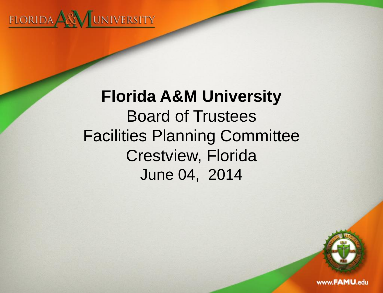

# **Florida A&M University**  Board of Trustees Facilities Planning Committee Crestview, Florida June 04, 2014

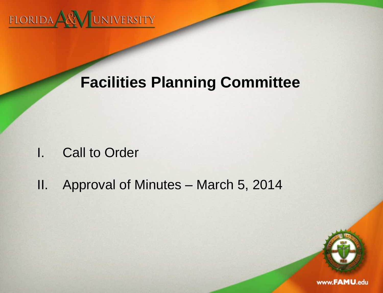

## **Facilities Planning Committee**

- I. Call to Order
- II. Approval of Minutes March 5, 2014

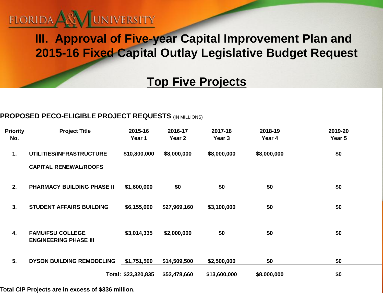

### **III. Approval of Five-year Capital Improvement Plan and 2015-16 Fixed Capital Outlay Legislative Budget Request**

### **Top Five Projects**

#### **PROPOSED PECO-ELIGIBLE PROJECT REQUESTS** (IN MILLIONS)

| <b>Priority</b><br>No. | <b>Project Title</b>                                     | 2015-16<br>Year 1   | 2016-17<br>Year 2 | 2017-18<br>Year <sub>3</sub> | 2018-19<br>Year 4 | 2019-20<br>Year 5 |
|------------------------|----------------------------------------------------------|---------------------|-------------------|------------------------------|-------------------|-------------------|
| 1.                     | UTILITIES/INFRASTRUCTURE<br><b>CAPITAL RENEWAL/ROOFS</b> | \$10,800,000        | \$8,000,000       | \$8,000,000                  | \$8,000,000       | \$0               |
| 2.                     | <b>PHARMACY BUILDING PHASE II</b>                        | \$1,600,000         | \$0               | \$0                          | \$0               | \$0               |
| 3.                     | <b>STUDENT AFFAIRS BUILDING</b>                          | \$6,155,000         | \$27,969,160      | \$3,100,000                  | \$0               | \$0               |
| 4.                     | <b>FAMU/FSU COLLEGE</b><br><b>ENGINEERING PHASE III</b>  | \$3,014,335         | \$2,000,000       | \$0                          | \$0               | \$0               |
| 5.                     | <b>DYSON BUILDING REMODELING</b>                         | \$1,751,500         | \$14,509,500      | \$2,500,000                  | \$0               | \$0               |
|                        |                                                          | Total: \$23,320,835 | \$52,478,660      | \$13,600,000                 | \$8,000,000       | \$0               |

**Total CIP Projects are in excess of \$336 million.**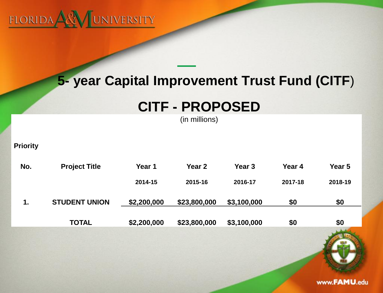

## **5- year Capital Improvement Trust Fund (CITF**)

## **CITF - PROPOSED**

(in millions)

**Priority**

| No. | <b>Project Title</b> | Year 1      | Year 2       | Year 3      | Year 4  | Year 5  |
|-----|----------------------|-------------|--------------|-------------|---------|---------|
|     |                      | 2014-15     | 2015-16      | 2016-17     | 2017-18 | 2018-19 |
| 1.  | <b>STUDENT UNION</b> | \$2,200,000 | \$23,800,000 | \$3,100,000 | \$0     | \$0     |
|     | <b>TOTAL</b>         | \$2,200,000 | \$23,800,000 | \$3,100,000 | \$0     | \$0     |